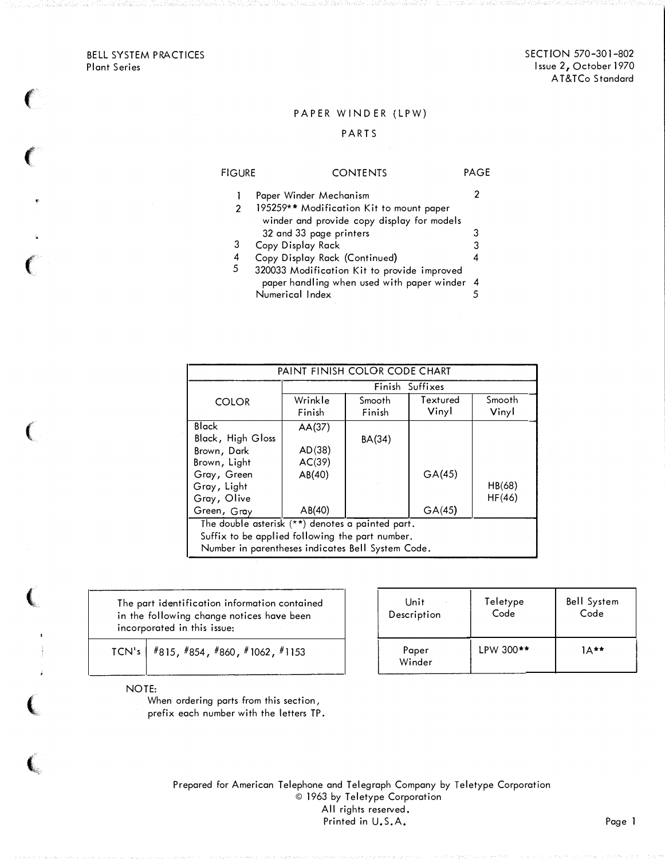BELL SYSTEM PRACTICES Plant Series

 $\big($ 

 $\epsilon$ 

 $\left($ 

 $\left($ 

(

 $\left($ 

 $\frac{1}{2}$ 

 $\left( \begin{smallmatrix} \cdot & \cdot & \cdot \end{smallmatrix} \right)$ 

## PAPER WINDER (LPW)

### PART S

| <b>FIGURE</b> | <b>CONTENTS</b>                             | PAGE |
|---------------|---------------------------------------------|------|
|               | Paper Winder Mechanism                      |      |
|               | 195259** Modification Kit to mount paper    |      |
|               | winder and provide copy display for models  |      |
|               | 32 and 33 page printers                     | З    |
| 3             | Copy Display Rack                           | 3    |
| 4             | Copy Display Rack (Continued)               | 4    |
| 5             | 320033 Modification Kit to provide improved |      |
|               | paper handling when used with paper winder  | -4   |
|               | Numerical Index                             |      |

| PAINT FINISH COLOR CODE CHART                     |         |        |          |        |  |  |
|---------------------------------------------------|---------|--------|----------|--------|--|--|
| Finish<br>Suffixes                                |         |        |          |        |  |  |
| <b>COLOR</b>                                      | Wrinkle | Smooth | Textured | Smooth |  |  |
|                                                   | Finish  | Finish | Vinyl    | Vinyl  |  |  |
| Black                                             | AA(37)  |        |          |        |  |  |
| Black, High Gloss                                 |         | BA(34) |          |        |  |  |
| Brown, Dark                                       | AD(38)  |        |          |        |  |  |
| Brown, Light                                      | AC(39)  |        |          |        |  |  |
| Gray, Green                                       | AB(40)  |        | GA(45)   |        |  |  |
| Gray, Light                                       |         |        |          | HB(68) |  |  |
| Gray, Olive                                       |         |        |          | HF(46) |  |  |
| Green, Gray                                       | AB(40)  |        | GA(45)   |        |  |  |
| The double asterisk (**) denotes a painted part.  |         |        |          |        |  |  |
| Suffix to be applied following the part number.   |         |        |          |        |  |  |
| Number in parentheses indicates Bell System Code. |         |        |          |        |  |  |

The part identification information contained in the following change notices have been incorporated in this issue:

TCN's  $\frac{1}{18}$  #815, #854, #860, #1062, #1153

NOTE:

When ordering parts from this section, prefix each number with the letters TP.

| Unit            | Teletype  | <b>Bell System</b> |
|-----------------|-----------|--------------------|
| Description     | Code      | Code               |
| Paper<br>Winder | LPW 300** | $1 \wedge$ **      |

Prepared for American Telephone and Telegraph Company by Teletype Corporation © 1963 by Teletype Corporation All rights reserved. Printed in U.S.A. Page 1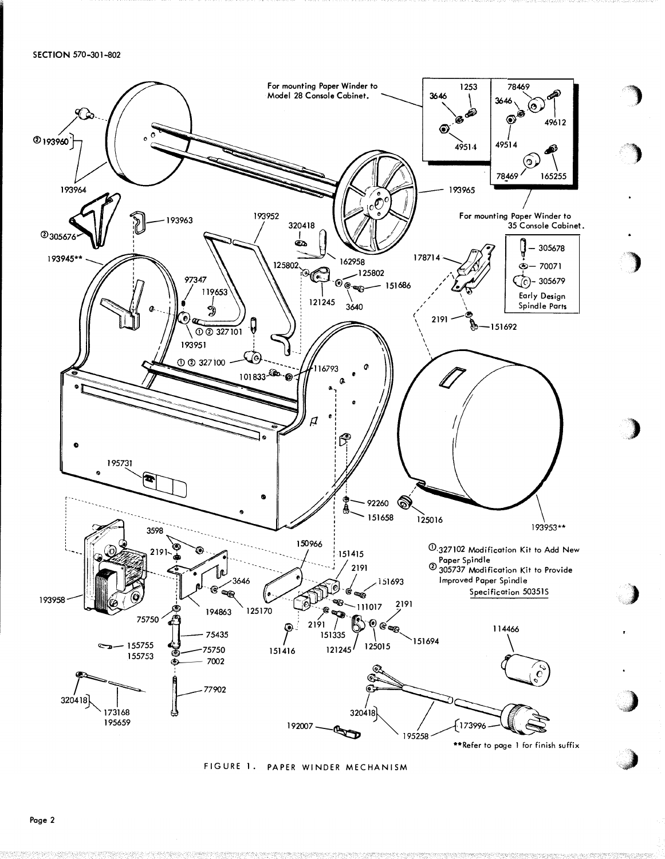#### SECTION 570-301-802



FIGURE 1. PAPER WINDER MECHANISM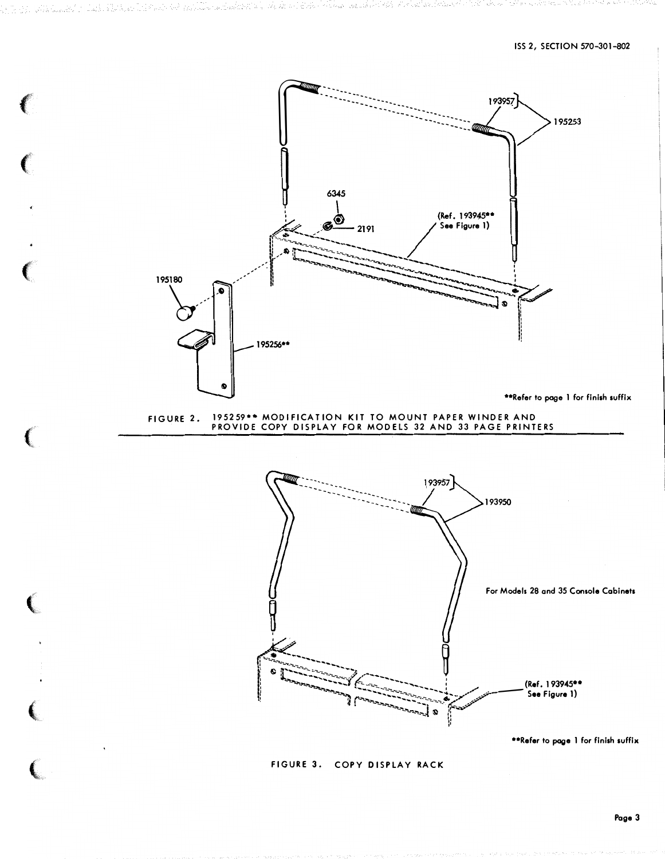

FIGURE 3. COPY DISPLAY RACK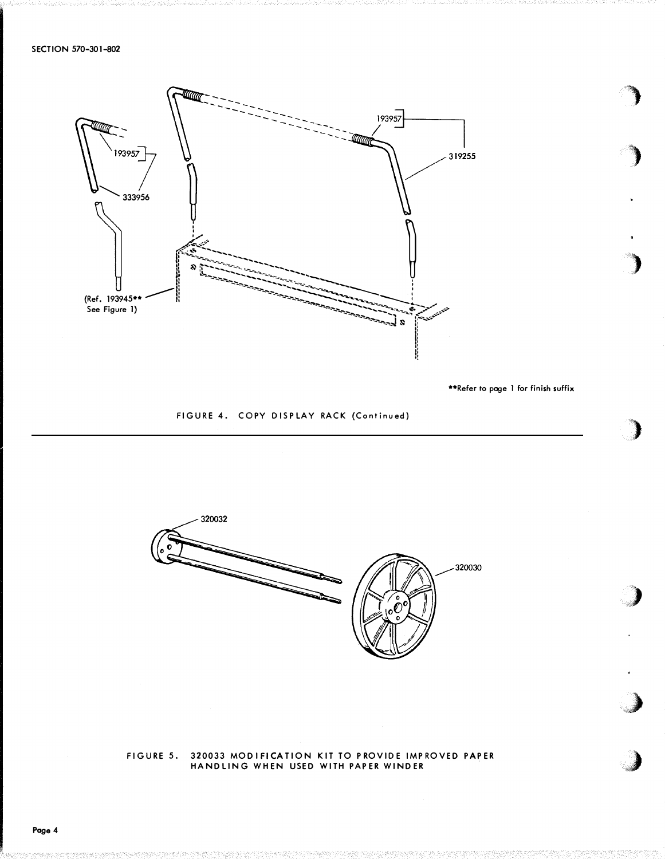

\*\*Refer to page 1 for finish suffix

FIGURE 4. COPY DISPLAY RACK (Continued)



# FIGURE 5. 320033 MODIFICATION KIT TO PROVIDE IMPROVED PAPER<br>HANDLING WHEN USED WITH PAPER WINDER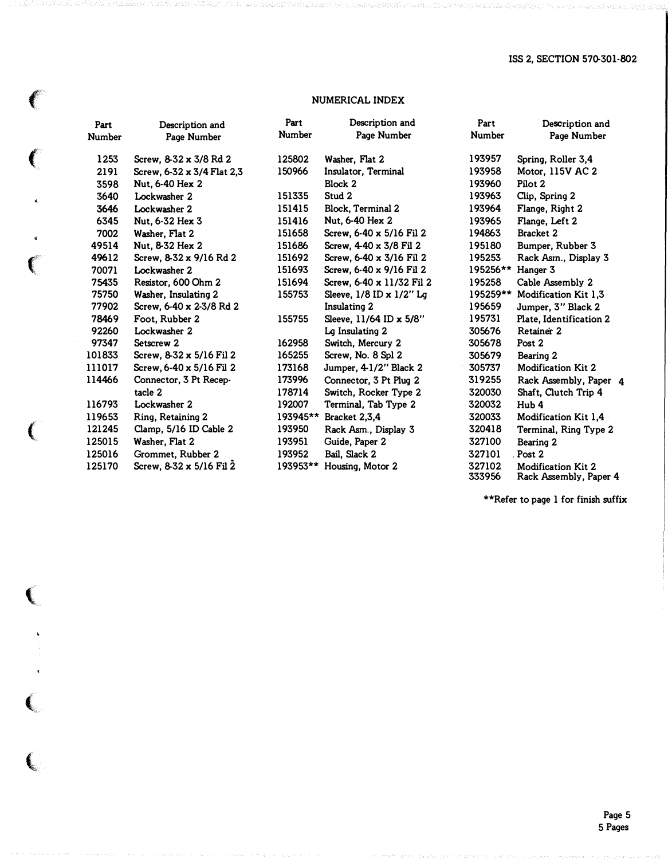## NUMERICAL INDEX

 $\left($ 

 $\sqrt{2}$ 

 $\hat{\mathbf{r}}$ 

 $\left($ 

 $\frac{1}{\sqrt{2}}$ 

 $\left($ 

 $\big($ 

 $\sim$   $\lambda$ 

 $\left($ 

 $\left($ 

| Part          | Description and            | Part          | Description and           | Part          | Description and           |  |
|---------------|----------------------------|---------------|---------------------------|---------------|---------------------------|--|
| <b>Number</b> | Page Number                | <b>Number</b> | Page Number               | <b>Number</b> | Page Number               |  |
| 1253          | Screw, 8-32 x 3/8 Rd 2     | 125802        | Washer, Flat 2            | 193957        | Spring, Roller 3,4        |  |
| 2191          | Screw, 6-32 x 3/4 Flat 2,3 | 150966        | Insulator, Terminal       | 193958        | Motor, 115V AC 2          |  |
| 3598          | Nut. 6-40 Hex 2            |               | Block 2                   | 193960        | Pilot 2                   |  |
| 3640          | Lockwasher 2               | 151335        | Stud 2                    | 193963        | Clip, Spring 2            |  |
| 3646          | Lockwasher 2               | 151415        | Block, Terminal 2         | 193964        | Flange, Right 2           |  |
| 6345          | Nut. 6-32 Hex 3            | 151416        | Nut, 6-40 Hex 2           | 193965        | Flange, Left 2            |  |
| 7002          | Washer, Flat 2             | 151658        | Screw. 6-40 x 5/16 Fil 2  | 194863        | Bracket 2                 |  |
| 49514         | Nut. 8-32 Hex 2            | 151686        | Screw. 4-40 x 3/8 Fil 2   | 195180        | Bumper, Rubber 3          |  |
| 49612         | Screw, 8.32 x 9/16 Rd 2    | 151692        | Screw, 6-40 x 3/16 Fil 2  | 195253        | Rack Asin., Display 3     |  |
| 70071         | Lockwasher 2               | 151693        | Screw, 6-40 x 9/16 Fil 2  | 195256**      | Hanger 3                  |  |
| 75435         | Resistor, 600 Ohm 2        | 151694        | Screw, 6-40 x 11/32 Fil 2 | 195258        | Cable Assembly 2          |  |
| 75750         | Washer, Insulating 2       | 155753        | Sleeve, 1/8 ID x 1/2" Lg  | 195259**      | Modification Kit 1,3      |  |
| 77902         | Screw, 6-40 x 2-3/8 Rd 2   |               | Insulating 2              | 195659        | Jumper, 3" Black 2        |  |
| 78469         | Foot, Rubber 2             | 155755        | Sleeve, 11/64 ID x 5/8"   | 195731        | Plate, Identification 2   |  |
| 92260         | Lockwasher 2               |               | Lg Insulating 2           | 305676        | Retainer 2                |  |
| 97347         | Setscrew 2                 | 162958        | Switch, Mercury 2         | 305678        | Post 2                    |  |
| 101833        | Screw, 8-32 x 5/16 Fil 2   | 165255        | Screw, No. 8 Spl 2        | 305679        | Bearing 2                 |  |
| 111017        | Screw, 6-40 x 5/16 Fil 2   | 173168        | Jumper, 4-1/2" Black 2    | 305737        | Modification Kit 2        |  |
| 114466        | Connector, 3 Pt Recep-     | 173996        | Connector, 3 Pt Plug 2    | 319255        | Rack Assembly, Paper 4    |  |
|               | tacle 2                    | 178714        | Switch. Rocker Type 2     | 320030        | Shaft. Clutch Trip 4      |  |
| 116793        | Lockwasher 2               | 192007        | Terminal, Tab Type 2      | 320032        | Hub 4                     |  |
| 119653        | Ring, Retaining 2          | 193945**      | Bracket 2,3,4             | 320033        | Modification Kit 1,4      |  |
| 121245        | Clamp, 5/16 ID Cable 2     | 193950        | Rack Asm., Display 3      | 320418        | Terminal, Ring Type 2     |  |
| 125015        | Washer, Flat 2             | 193951        | Guide, Paper 2            | 327100        | Bearing 2                 |  |
| 125016        | Grommet, Rubber 2          | 193952        | Bail, Slack 2             | 327101        | Post 2                    |  |
| 125170        | Screw, 8-32 x 5/16 Fil 2   | 193953**      | Housing, Motor 2          | 327102        | <b>Modification Kit 2</b> |  |

\*\*Refer to page 1 for finish suffix

333956 Rack Assembly, Paper 4